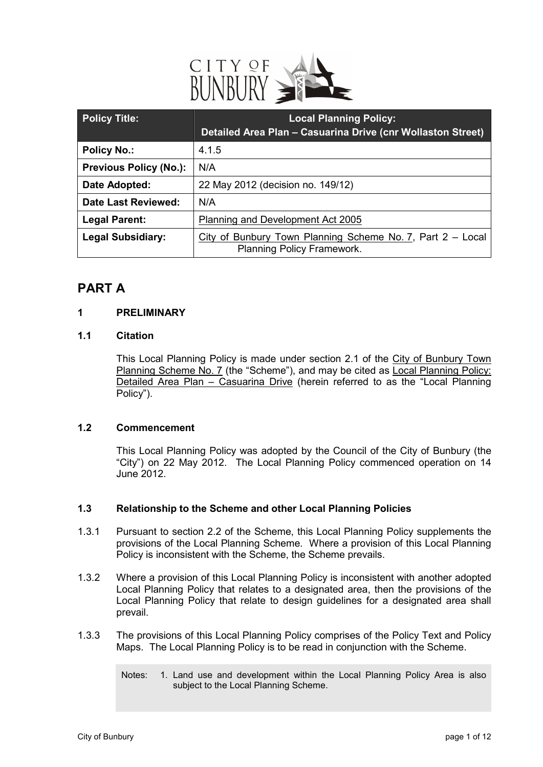

| <b>Policy Title:</b>          | <b>Local Planning Policy:</b><br>Detailed Area Plan - Casuarina Drive (cnr Wollaston Street) |
|-------------------------------|----------------------------------------------------------------------------------------------|
| <b>Policy No.:</b>            | 4.1.5                                                                                        |
| <b>Previous Policy (No.):</b> | N/A                                                                                          |
| Date Adopted:                 | 22 May 2012 (decision no. 149/12)                                                            |
| <b>Date Last Reviewed:</b>    | N/A                                                                                          |
| <b>Legal Parent:</b>          | Planning and Development Act 2005                                                            |
| <b>Legal Subsidiary:</b>      | City of Bunbury Town Planning Scheme No. 7, Part 2 - Local<br>Planning Policy Framework.     |

## **PART A**

#### **1 PRELIMINARY**

#### **1.1 Citation**

This Local Planning Policy is made under section 2.1 of the City of Bunbury Town Planning Scheme No. 7 (the "Scheme"), and may be cited as Local Planning Policy: Detailed Area Plan – Casuarina Drive (herein referred to as the "Local Planning Policy").

#### **1.2 Commencement**

This Local Planning Policy was adopted by the Council of the City of Bunbury (the "City") on 22 May 2012. The Local Planning Policy commenced operation on 14 June 2012.

#### **1.3 Relationship to the Scheme and other Local Planning Policies**

- 1.3.1 Pursuant to section 2.2 of the Scheme, this Local Planning Policy supplements the provisions of the Local Planning Scheme. Where a provision of this Local Planning Policy is inconsistent with the Scheme, the Scheme prevails.
- 1.3.2 Where a provision of this Local Planning Policy is inconsistent with another adopted Local Planning Policy that relates to a designated area, then the provisions of the Local Planning Policy that relate to design guidelines for a designated area shall prevail.
- 1.3.3 The provisions of this Local Planning Policy comprises of the Policy Text and Policy Maps. The Local Planning Policy is to be read in conjunction with the Scheme.

Notes: 1. Land use and development within the Local Planning Policy Area is also subject to the Local Planning Scheme.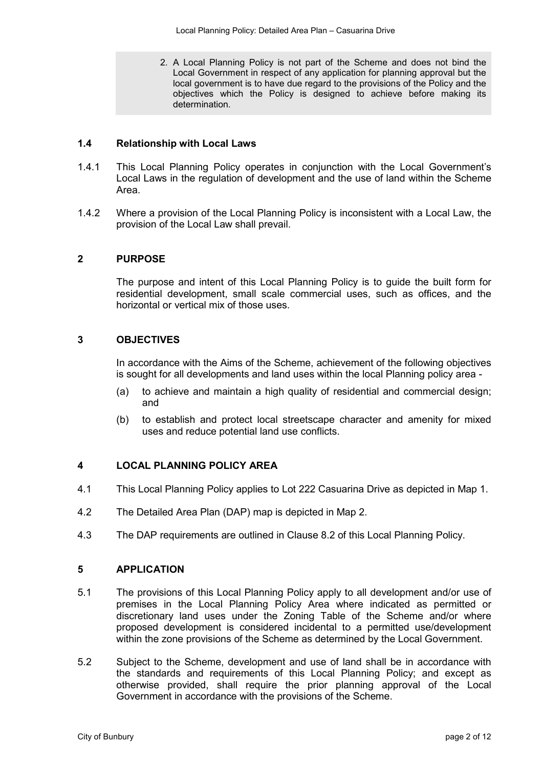2. A Local Planning Policy is not part of the Scheme and does not bind the Local Government in respect of any application for planning approval but the local government is to have due regard to the provisions of the Policy and the objectives which the Policy is designed to achieve before making its determination.

#### **1.4 Relationship with Local Laws**

- 1.4.1 This Local Planning Policy operates in conjunction with the Local Government's Local Laws in the regulation of development and the use of land within the Scheme Area.
- 1.4.2 Where a provision of the Local Planning Policy is inconsistent with a Local Law, the provision of the Local Law shall prevail.

#### **2 PURPOSE**

The purpose and intent of this Local Planning Policy is to guide the built form for residential development, small scale commercial uses, such as offices, and the horizontal or vertical mix of those uses.

#### **3 OBJECTIVES**

In accordance with the Aims of the Scheme, achievement of the following objectives is sought for all developments and land uses within the local Planning policy area -

- (a) to achieve and maintain a high quality of residential and commercial design; and
- (b) to establish and protect local streetscape character and amenity for mixed uses and reduce potential land use conflicts.

#### **4 LOCAL PLANNING POLICY AREA**

- 4.1 This Local Planning Policy applies to Lot 222 Casuarina Drive as depicted in Map 1.
- 4.2 The Detailed Area Plan (DAP) map is depicted in Map 2.
- 4.3 The DAP requirements are outlined in Clause 8.2 of this Local Planning Policy.

#### **5 APPLICATION**

- 5.1 The provisions of this Local Planning Policy apply to all development and/or use of premises in the Local Planning Policy Area where indicated as permitted or discretionary land uses under the Zoning Table of the Scheme and/or where proposed development is considered incidental to a permitted use/development within the zone provisions of the Scheme as determined by the Local Government.
- 5.2 Subject to the Scheme, development and use of land shall be in accordance with the standards and requirements of this Local Planning Policy; and except as otherwise provided, shall require the prior planning approval of the Local Government in accordance with the provisions of the Scheme.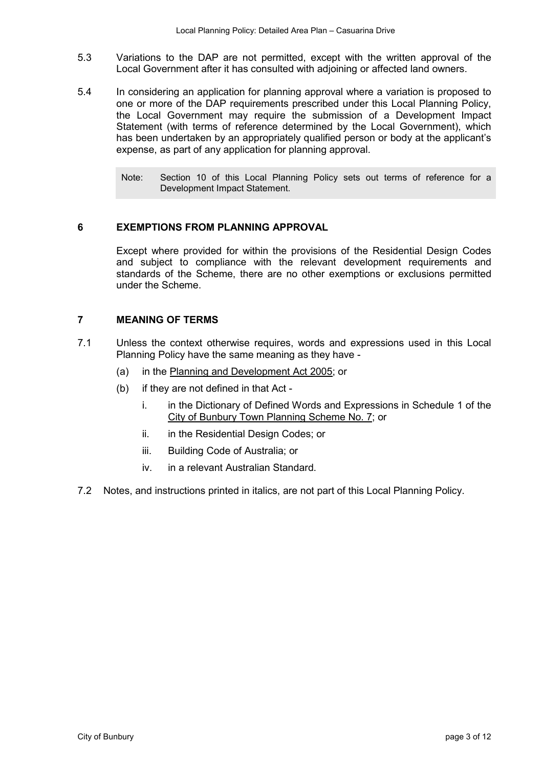- 5.3 Variations to the DAP are not permitted, except with the written approval of the Local Government after it has consulted with adjoining or affected land owners.
- 5.4 In considering an application for planning approval where a variation is proposed to one or more of the DAP requirements prescribed under this Local Planning Policy, the Local Government may require the submission of a Development Impact Statement (with terms of reference determined by the Local Government), which has been undertaken by an appropriately qualified person or body at the applicant's expense, as part of any application for planning approval.
	- Note: Section 10 of this Local Planning Policy sets out terms of reference for a Development Impact Statement.

#### **6 EXEMPTIONS FROM PLANNING APPROVAL**

Except where provided for within the provisions of the Residential Design Codes and subject to compliance with the relevant development requirements and standards of the Scheme, there are no other exemptions or exclusions permitted under the Scheme.

#### **7 MEANING OF TERMS**

- 7.1 Unless the context otherwise requires, words and expressions used in this Local Planning Policy have the same meaning as they have -
	- (a) in the Planning and Development Act 2005; or
	- (b) if they are not defined in that Act
		- i. in the Dictionary of Defined Words and Expressions in Schedule 1 of the City of Bunbury Town Planning Scheme No. 7; or
		- ii. in the Residential Design Codes; or
		- iii. Building Code of Australia; or
		- iv. in a relevant Australian Standard.
- 7.2 Notes, and instructions printed in italics, are not part of this Local Planning Policy.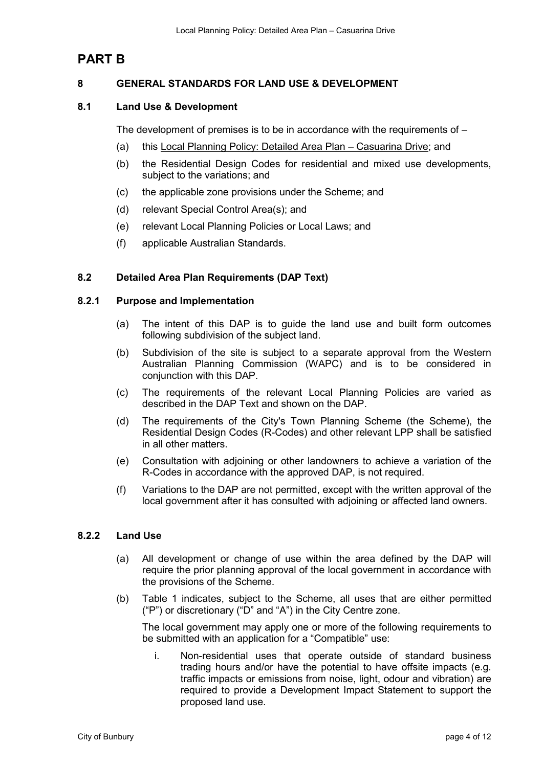## **PART B**

#### **8 GENERAL STANDARDS FOR LAND USE & DEVELOPMENT**

#### **8.1 Land Use & Development**

The development of premises is to be in accordance with the requirements of –

- (a) this Local Planning Policy: Detailed Area Plan Casuarina Drive; and
- (b) the Residential Design Codes for residential and mixed use developments, subject to the variations; and
- (c) the applicable zone provisions under the Scheme; and
- (d) relevant Special Control Area(s); and
- (e) relevant Local Planning Policies or Local Laws; and
- (f) applicable Australian Standards.

#### **8.2 Detailed Area Plan Requirements (DAP Text)**

#### **8.2.1 Purpose and Implementation**

- (a) The intent of this DAP is to guide the land use and built form outcomes following subdivision of the subject land.
- (b) Subdivision of the site is subject to a separate approval from the Western Australian Planning Commission (WAPC) and is to be considered in conjunction with this DAP.
- (c) The requirements of the relevant Local Planning Policies are varied as described in the DAP Text and shown on the DAP.
- (d) The requirements of the City's Town Planning Scheme (the Scheme), the Residential Design Codes (R-Codes) and other relevant LPP shall be satisfied in all other matters.
- (e) Consultation with adjoining or other landowners to achieve a variation of the R-Codes in accordance with the approved DAP, is not required.
- (f) Variations to the DAP are not permitted, except with the written approval of the local government after it has consulted with adjoining or affected land owners.

#### **8.2.2 Land Use**

- (a) All development or change of use within the area defined by the DAP will require the prior planning approval of the local government in accordance with the provisions of the Scheme.
- (b) Table 1 indicates, subject to the Scheme, all uses that are either permitted ("P") or discretionary ("D" and "A") in the City Centre zone.

The local government may apply one or more of the following requirements to be submitted with an application for a "Compatible" use:

i. Non-residential uses that operate outside of standard business trading hours and/or have the potential to have offsite impacts (e.g. traffic impacts or emissions from noise, light, odour and vibration) are required to provide a Development Impact Statement to support the proposed land use.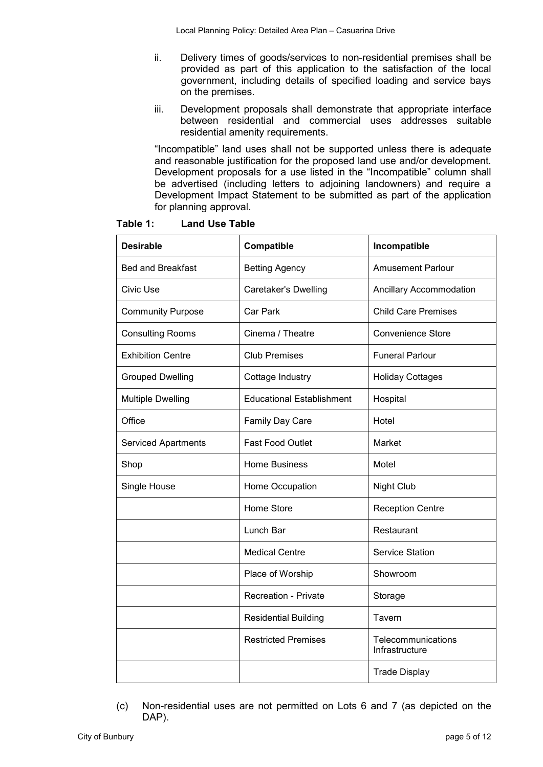- ii. Delivery times of goods/services to non-residential premises shall be provided as part of this application to the satisfaction of the local government, including details of specified loading and service bays on the premises.
- iii. Development proposals shall demonstrate that appropriate interface between residential and commercial uses addresses suitable residential amenity requirements.

"Incompatible" land uses shall not be supported unless there is adequate and reasonable justification for the proposed land use and/or development. Development proposals for a use listed in the "Incompatible" column shall be advertised (including letters to adjoining landowners) and require a Development Impact Statement to be submitted as part of the application for planning approval.

| <b>Desirable</b>           | Compatible                       | Incompatible                         |
|----------------------------|----------------------------------|--------------------------------------|
| <b>Bed and Breakfast</b>   | <b>Betting Agency</b>            | <b>Amusement Parlour</b>             |
| <b>Civic Use</b>           | Caretaker's Dwelling             | Ancillary Accommodation              |
| <b>Community Purpose</b>   | Car Park                         | <b>Child Care Premises</b>           |
| <b>Consulting Rooms</b>    | Cinema / Theatre                 | <b>Convenience Store</b>             |
| <b>Exhibition Centre</b>   | <b>Club Premises</b>             | <b>Funeral Parlour</b>               |
| <b>Grouped Dwelling</b>    | Cottage Industry                 | <b>Holiday Cottages</b>              |
| <b>Multiple Dwelling</b>   | <b>Educational Establishment</b> | Hospital                             |
| Office                     | Family Day Care                  | Hotel                                |
| <b>Serviced Apartments</b> | <b>Fast Food Outlet</b>          | Market                               |
| Shop                       | <b>Home Business</b>             | Motel                                |
| Single House               | Home Occupation                  | <b>Night Club</b>                    |
|                            | Home Store                       | <b>Reception Centre</b>              |
|                            | Lunch Bar                        | Restaurant                           |
|                            | <b>Medical Centre</b>            | <b>Service Station</b>               |
|                            | Place of Worship                 | Showroom                             |
|                            | <b>Recreation - Private</b>      | Storage                              |
|                            | <b>Residential Building</b>      | Tavern                               |
|                            | <b>Restricted Premises</b>       | Telecommunications<br>Infrastructure |
|                            |                                  | <b>Trade Display</b>                 |

#### **Table 1: Land Use Table**

(c) Non-residential uses are not permitted on Lots 6 and 7 (as depicted on the DAP).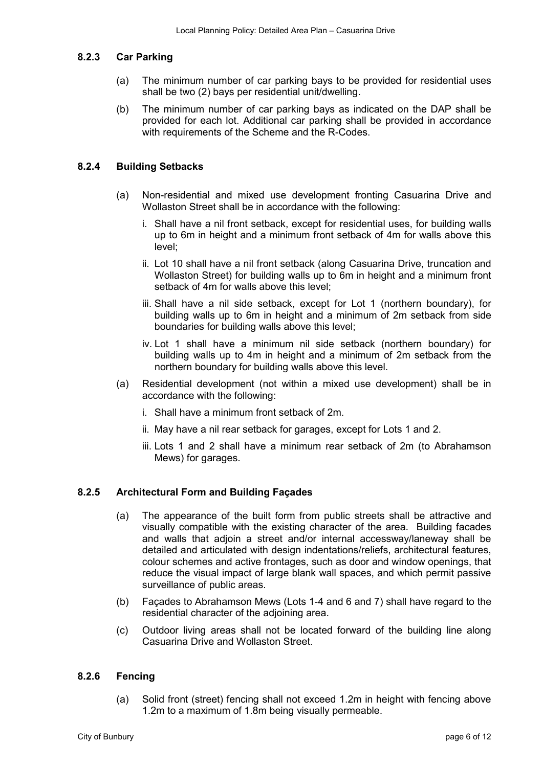#### **8.2.3 Car Parking**

- (a) The minimum number of car parking bays to be provided for residential uses shall be two (2) bays per residential unit/dwelling.
- (b) The minimum number of car parking bays as indicated on the DAP shall be provided for each lot. Additional car parking shall be provided in accordance with requirements of the Scheme and the R-Codes.

#### **8.2.4 Building Setbacks**

- (a) Non-residential and mixed use development fronting Casuarina Drive and Wollaston Street shall be in accordance with the following:
	- i. Shall have a nil front setback, except for residential uses, for building walls up to 6m in height and a minimum front setback of 4m for walls above this level;
	- ii. Lot 10 shall have a nil front setback (along Casuarina Drive, truncation and Wollaston Street) for building walls up to 6m in height and a minimum front setback of 4m for walls above this level;
	- iii. Shall have a nil side setback, except for Lot 1 (northern boundary), for building walls up to 6m in height and a minimum of 2m setback from side boundaries for building walls above this level;
	- iv. Lot 1 shall have a minimum nil side setback (northern boundary) for building walls up to 4m in height and a minimum of 2m setback from the northern boundary for building walls above this level.
- (a) Residential development (not within a mixed use development) shall be in accordance with the following:
	- i. Shall have a minimum front setback of 2m.
	- ii. May have a nil rear setback for garages, except for Lots 1 and 2.
	- iii. Lots 1 and 2 shall have a minimum rear setback of 2m (to Abrahamson Mews) for garages.

#### **8.2.5 Architectural Form and Building Façades**

- (a) The appearance of the built form from public streets shall be attractive and visually compatible with the existing character of the area. Building facades and walls that adjoin a street and/or internal accessway/laneway shall be detailed and articulated with design indentations/reliefs, architectural features, colour schemes and active frontages, such as door and window openings, that reduce the visual impact of large blank wall spaces, and which permit passive surveillance of public areas.
- (b) Façades to Abrahamson Mews (Lots 1-4 and 6 and 7) shall have regard to the residential character of the adjoining area.
- (c) Outdoor living areas shall not be located forward of the building line along Casuarina Drive and Wollaston Street.

#### **8.2.6 Fencing**

(a) Solid front (street) fencing shall not exceed 1.2m in height with fencing above 1.2m to a maximum of 1.8m being visually permeable.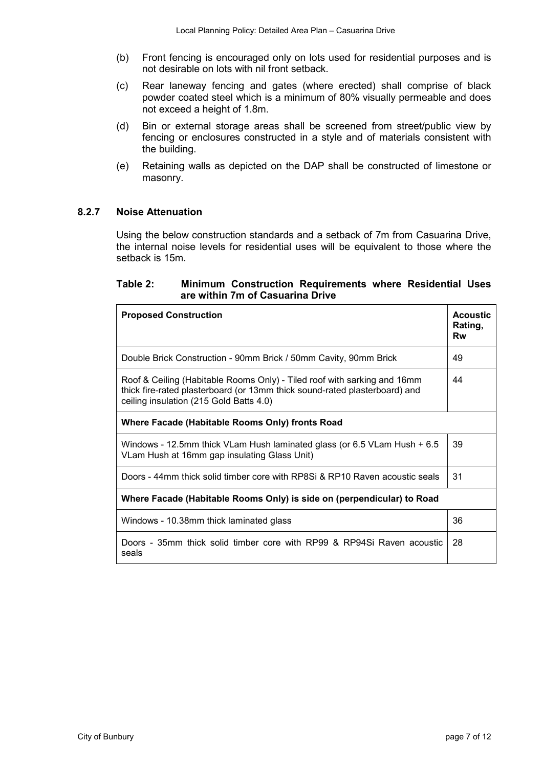- (b) Front fencing is encouraged only on lots used for residential purposes and is not desirable on lots with nil front setback.
- (c) Rear laneway fencing and gates (where erected) shall comprise of black powder coated steel which is a minimum of 80% visually permeable and does not exceed a height of 1.8m.
- (d) Bin or external storage areas shall be screened from street/public view by fencing or enclosures constructed in a style and of materials consistent with the building.
- (e) Retaining walls as depicted on the DAP shall be constructed of limestone or masonry.

#### **8.2.7 Noise Attenuation**

Using the below construction standards and a setback of 7m from Casuarina Drive, the internal noise levels for residential uses will be equivalent to those where the setback is 15m.

#### **Table 2: Minimum Construction Requirements where Residential Uses are within 7m of Casuarina Drive**

| <b>Proposed Construction</b>                                                                                                                                                                      | <b>Acoustic</b><br>Rating,<br>Rw |  |  |
|---------------------------------------------------------------------------------------------------------------------------------------------------------------------------------------------------|----------------------------------|--|--|
| Double Brick Construction - 90mm Brick / 50mm Cavity, 90mm Brick                                                                                                                                  |                                  |  |  |
| Roof & Ceiling (Habitable Rooms Only) - Tiled roof with sarking and 16mm<br>thick fire-rated plasterboard (or 13mm thick sound-rated plasterboard) and<br>ceiling insulation (215 Gold Batts 4.0) |                                  |  |  |
| Where Facade (Habitable Rooms Only) fronts Road                                                                                                                                                   |                                  |  |  |
| Windows - 12.5mm thick VLam Hush laminated glass (or 6.5 VLam Hush + 6.5<br>VLam Hush at 16mm gap insulating Glass Unit)                                                                          | 39                               |  |  |
| Doors - 44mm thick solid timber core with RP8Si & RP10 Raven acoustic seals                                                                                                                       |                                  |  |  |
| Where Facade (Habitable Rooms Only) is side on (perpendicular) to Road                                                                                                                            |                                  |  |  |
| Windows - 10.38mm thick laminated glass                                                                                                                                                           |                                  |  |  |
| Doors - 35mm thick solid timber core with RP99 & RP94Si Raven acoustic<br>seals                                                                                                                   |                                  |  |  |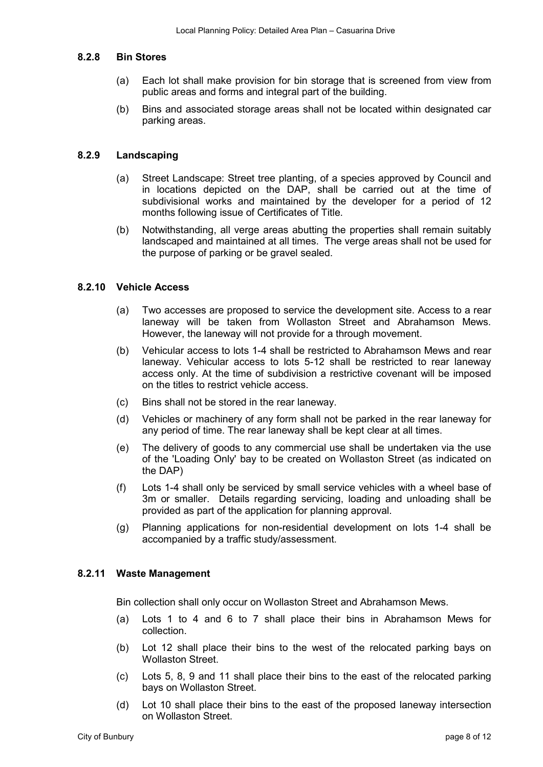#### **8.2.8 Bin Stores**

- (a) Each lot shall make provision for bin storage that is screened from view from public areas and forms and integral part of the building.
- (b) Bins and associated storage areas shall not be located within designated car parking areas.

#### **8.2.9 Landscaping**

- (a) Street Landscape: Street tree planting, of a species approved by Council and in locations depicted on the DAP, shall be carried out at the time of subdivisional works and maintained by the developer for a period of 12 months following issue of Certificates of Title.
- (b) Notwithstanding, all verge areas abutting the properties shall remain suitably landscaped and maintained at all times. The verge areas shall not be used for the purpose of parking or be gravel sealed.

#### **8.2.10 Vehicle Access**

- (a) Two accesses are proposed to service the development site. Access to a rear laneway will be taken from Wollaston Street and Abrahamson Mews. However, the laneway will not provide for a through movement.
- (b) Vehicular access to lots 1-4 shall be restricted to Abrahamson Mews and rear laneway. Vehicular access to lots 5-12 shall be restricted to rear laneway access only. At the time of subdivision a restrictive covenant will be imposed on the titles to restrict vehicle access.
- (c) Bins shall not be stored in the rear laneway.
- (d) Vehicles or machinery of any form shall not be parked in the rear laneway for any period of time. The rear laneway shall be kept clear at all times.
- (e) The delivery of goods to any commercial use shall be undertaken via the use of the 'Loading Only' bay to be created on Wollaston Street (as indicated on the DAP)
- (f) Lots 1-4 shall only be serviced by small service vehicles with a wheel base of 3m or smaller. Details regarding servicing, loading and unloading shall be provided as part of the application for planning approval.
- (g) Planning applications for non-residential development on lots 1-4 shall be accompanied by a traffic study/assessment.

#### **8.2.11 Waste Management**

Bin collection shall only occur on Wollaston Street and Abrahamson Mews.

- (a) Lots 1 to 4 and 6 to 7 shall place their bins in Abrahamson Mews for collection.
- (b) Lot 12 shall place their bins to the west of the relocated parking bays on Wollaston Street.
- (c) Lots 5, 8, 9 and 11 shall place their bins to the east of the relocated parking bays on Wollaston Street.
- (d) Lot 10 shall place their bins to the east of the proposed laneway intersection on Wollaston Street.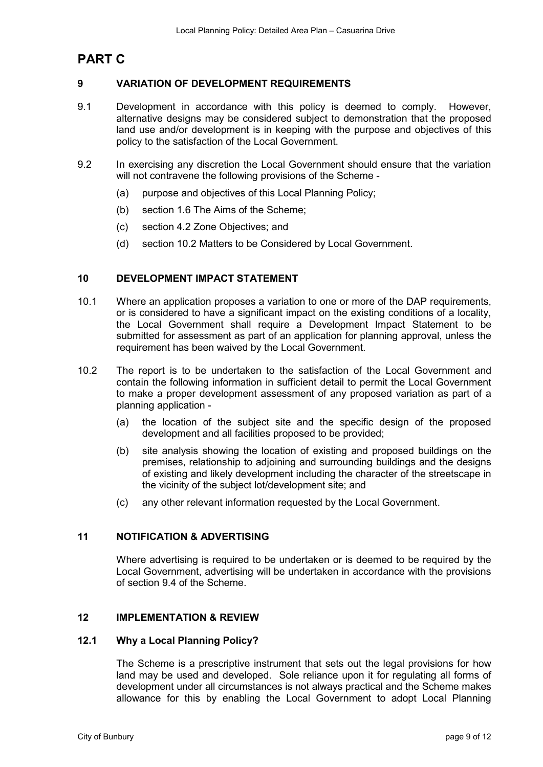## **PART C**

#### **9 VARIATION OF DEVELOPMENT REQUIREMENTS**

- 9.1 Development in accordance with this policy is deemed to comply. However, alternative designs may be considered subject to demonstration that the proposed land use and/or development is in keeping with the purpose and objectives of this policy to the satisfaction of the Local Government.
- 9.2 In exercising any discretion the Local Government should ensure that the variation will not contravene the following provisions of the Scheme -
	- (a) purpose and objectives of this Local Planning Policy;
	- (b) section 1.6 The Aims of the Scheme;
	- (c) section 4.2 Zone Objectives; and
	- (d) section 10.2 Matters to be Considered by Local Government.

#### **10 DEVELOPMENT IMPACT STATEMENT**

- 10.1 Where an application proposes a variation to one or more of the DAP requirements, or is considered to have a significant impact on the existing conditions of a locality, the Local Government shall require a Development Impact Statement to be submitted for assessment as part of an application for planning approval, unless the requirement has been waived by the Local Government.
- 10.2 The report is to be undertaken to the satisfaction of the Local Government and contain the following information in sufficient detail to permit the Local Government to make a proper development assessment of any proposed variation as part of a planning application -
	- (a) the location of the subject site and the specific design of the proposed development and all facilities proposed to be provided;
	- (b) site analysis showing the location of existing and proposed buildings on the premises, relationship to adjoining and surrounding buildings and the designs of existing and likely development including the character of the streetscape in the vicinity of the subject lot/development site; and
	- (c) any other relevant information requested by the Local Government.

#### **11 NOTIFICATION & ADVERTISING**

Where advertising is required to be undertaken or is deemed to be required by the Local Government, advertising will be undertaken in accordance with the provisions of section 9.4 of the Scheme.

#### **12 IMPLEMENTATION & REVIEW**

#### **12.1 Why a Local Planning Policy?**

The Scheme is a prescriptive instrument that sets out the legal provisions for how land may be used and developed. Sole reliance upon it for regulating all forms of development under all circumstances is not always practical and the Scheme makes allowance for this by enabling the Local Government to adopt Local Planning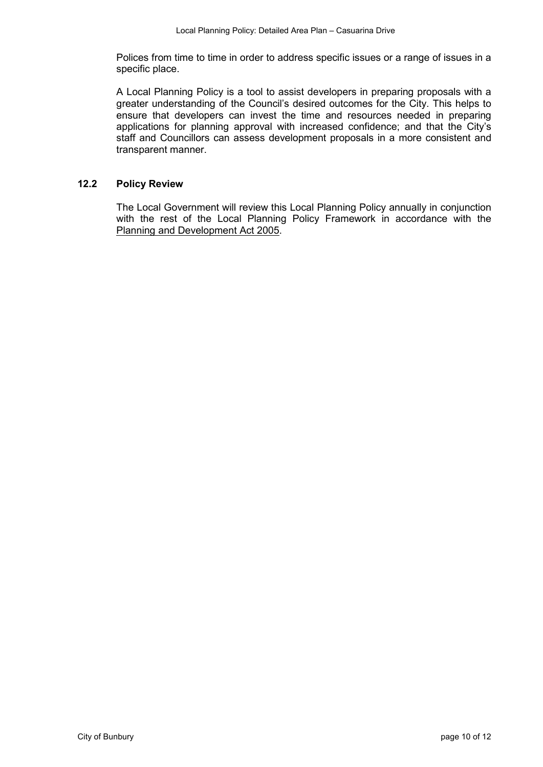Polices from time to time in order to address specific issues or a range of issues in a specific place.

A Local Planning Policy is a tool to assist developers in preparing proposals with a greater understanding of the Council's desired outcomes for the City. This helps to ensure that developers can invest the time and resources needed in preparing applications for planning approval with increased confidence; and that the City's staff and Councillors can assess development proposals in a more consistent and transparent manner.

#### **12.2 Policy Review**

The Local Government will review this Local Planning Policy annually in conjunction with the rest of the Local Planning Policy Framework in accordance with the Planning and Development Act 2005.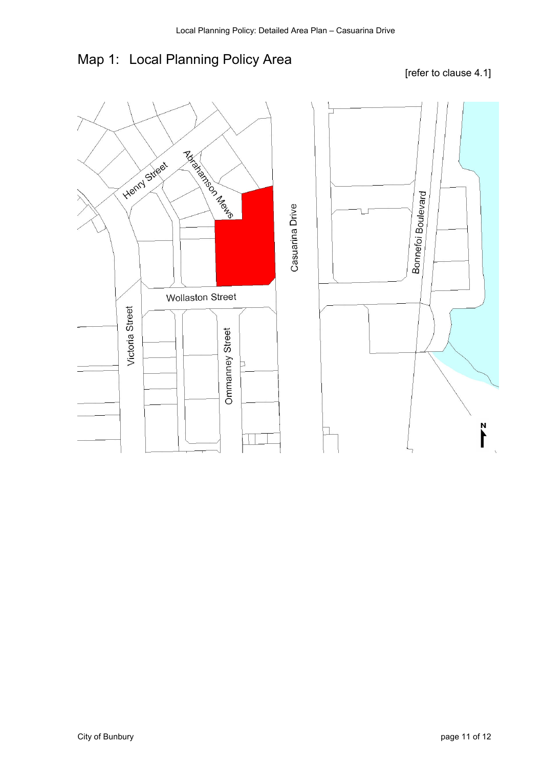# Map 1: Local Planning Policy Area

### [refer to clause 4.1]